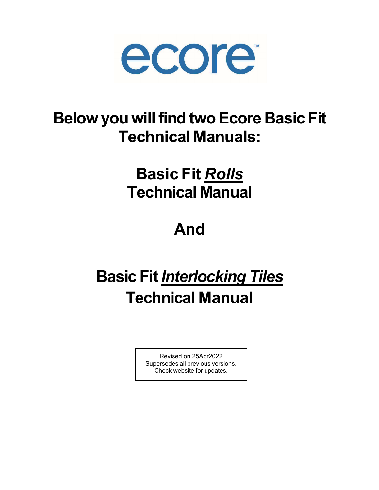

# Below you will find two Ecore Basic Fit Technical Manuals:

# Basic Fit Rolls Technical Manual

# And

# **Basic Fit Interlocking Tiles** Technical Manual

Revised on 25Apr2022 Supersedes all previous versions. Check website for updates.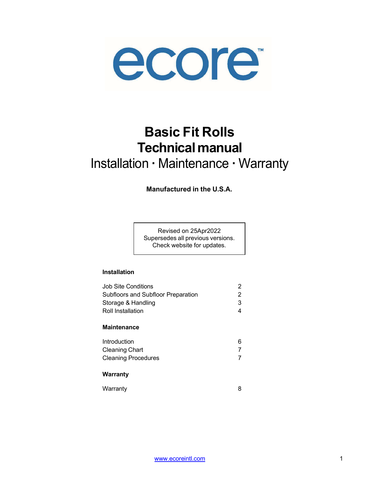

## Basic Fit Rolls Technical manual

## Installation · Maintenance · Warranty

Manufactured in the U.S.A.

Revised on 25Apr2022 Supersedes all previous versions. Check website for updates.

### Installation

| Job Site Conditions                | 2 |
|------------------------------------|---|
| Subfloors and Subfloor Preparation | 2 |
| Storage & Handling                 | 3 |
| Roll Installation                  | 4 |
| Maintenance                        |   |
| Introduction                       | 6 |
| Cleaning Chart                     |   |
| Cleaning Procedures                | 7 |
|                                    |   |

#### Warranty

Warranty 8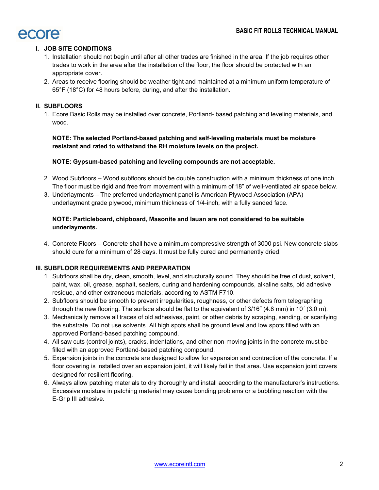

#### I. JOB SITE CONDITIONS

- 1. Installation should not begin until after all other trades are finished in the area. If the job requires other trades to work in the area after the installation of the floor, the floor should be protected with an appropriate cover.
- 2. Areas to receive flooring should be weather tight and maintained at a minimum uniform temperature of 65°F (18°C) for 48 hours before, during, and after the installation.

#### II. SUBFLOORS

1. Ecore Basic Rolls may be installed over concrete, Portland- based patching and leveling materials, and wood.

NOTE: The selected Portland-based patching and self-leveling materials must be moisture resistant and rated to withstand the RH moisture levels on the project.

#### NOTE: Gypsum-based patching and leveling compounds are not acceptable.

- 2. Wood Subfloors Wood subfloors should be double construction with a minimum thickness of one inch. The floor must be rigid and free from movement with a minimum of 18" of well-ventilated air space below.
- 3. Underlayments The preferred underlayment panel is American Plywood Association (APA) underlayment grade plywood, minimum thickness of 1/4-inch, with a fully sanded face.

#### NOTE: Particleboard, chipboard, Masonite and lauan are not considered to be suitable underlayments.

4. Concrete Floors – Concrete shall have a minimum compressive strength of 3000 psi. New concrete slabs should cure for a minimum of 28 days. It must be fully cured and permanently dried.

#### III. SUBFLOOR REQUIREMENTS AND PREPARATION

- 1. Subfloors shall be dry, clean, smooth, level, and structurally sound. They should be free of dust, solvent, paint, wax, oil, grease, asphalt, sealers, curing and hardening compounds, alkaline salts, old adhesive residue, and other extraneous materials, according to ASTM F710.
- 2. Subfloors should be smooth to prevent irregularities, roughness, or other defects from telegraphing through the new flooring. The surface should be flat to the equivalent of 3/16˝ (4.8 mm) in 10´ (3.0 m).
- 3. Mechanically remove all traces of old adhesives, paint, or other debris by scraping, sanding, or scarifying the substrate. Do not use solvents. All high spots shall be ground level and low spots filled with an approved Portland-based patching compound.
- 4. All saw cuts (control joints), cracks, indentations, and other non-moving joints in the concrete must be filled with an approved Portland-based patching compound.
- 5. Expansion joints in the concrete are designed to allow for expansion and contraction of the concrete. If a floor covering is installed over an expansion joint, it will likely fail in that area. Use expansion joint covers designed for resilient flooring.
- 6. Always allow patching materials to dry thoroughly and install according to the manufacturer's instructions. Excessive moisture in patching material may cause bonding problems or a bubbling reaction with the E-Grip III adhesive.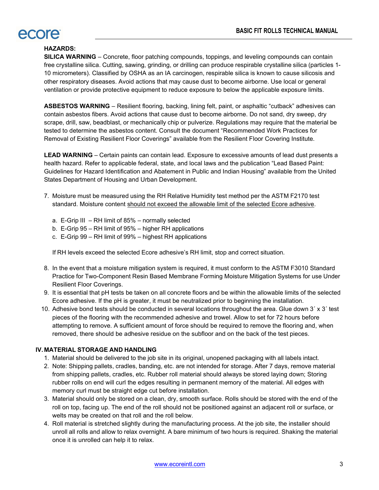### rcore

### HAZARDS:

SILICA WARNING – Concrete, floor patching compounds, toppings, and leveling compounds can contain free crystalline silica. Cutting, sawing, grinding, or drilling can produce respirable crystalline silica (particles 1- 10 micrometers). Classified by OSHA as an IA carcinogen, respirable silica is known to cause silicosis and other respiratory diseases. Avoid actions that may cause dust to become airborne. Use local or general ventilation or provide protective equipment to reduce exposure to below the applicable exposure limits.

ASBESTOS WARNING – Resilient flooring, backing, lining felt, paint, or asphaltic "cutback" adhesives can contain asbestos fibers. Avoid actions that cause dust to become airborne. Do not sand, dry sweep, dry scrape, drill, saw, beadblast, or mechanically chip or pulverize. Regulations may require that the material be tested to determine the asbestos content. Consult the document "Recommended Work Practices for Removal of Existing Resilient Floor Coverings" available from the Resilient Floor Covering Institute.

LEAD WARNING – Certain paints can contain lead. Exposure to excessive amounts of lead dust presents a health hazard. Refer to applicable federal, state, and local laws and the publication "Lead Based Paint: Guidelines for Hazard Identification and Abatement in Public and Indian Housing" available from the United States Department of Housing and Urban Development.

- 7. Moisture must be measured using the RH Relative Humidity test method per the ASTM F2170 test standard. Moisture content should not exceed the allowable limit of the selected Ecore adhesive.
	- a. E-Grip III RH limit of 85% normally selected
	- b. E-Grip 95 RH limit of 95% higher RH applications
	- c. E-Grip 99 RH limit of 99% highest RH applications

If RH levels exceed the selected Ecore adhesive's RH limit, stop and correct situation.

- 8. In the event that a moisture mitigation system is required, it must conform to the ASTM F3010 Standard Practice for Two-Component Resin Based Membrane Forming Moisture Mitigation Systems for use Under Resilient Floor Coverings.
- 9. It is essential that pH tests be taken on all concrete floors and be within the allowable limits of the selected Ecore adhesive. If the pH is greater, it must be neutralized prior to beginning the installation.
- 10. Adhesive bond tests should be conducted in several locations throughout the area. Glue down 3' x 3' test pieces of the flooring with the recommended adhesive and trowel. Allow to set for 72 hours before attempting to remove. A sufficient amount of force should be required to remove the flooring and, when removed, there should be adhesive residue on the subfloor and on the back of the test pieces.

#### IV. MATERIAL STORAGE AND HANDLING

- 1. Material should be delivered to the job site in its original, unopened packaging with all labels intact.
- 2. Note: Shipping pallets, cradles, banding, etc. are not intended for storage. After 7 days, remove material from shipping pallets, cradles, etc. Rubber roll material should always be stored laying down; Storing rubber rolls on end will curl the edges resulting in permanent memory of the material. All edges with memory curl must be straight edge cut before installation.
- 3. Material should only be stored on a clean, dry, smooth surface. Rolls should be stored with the end of the roll on top, facing up. The end of the roll should not be positioned against an adjacent roll or surface, or welts may be created on that roll and the roll below.
- 4. Roll material is stretched slightly during the manufacturing process. At the job site, the installer should unroll all rolls and allow to relax overnight. A bare minimum of two hours is required. Shaking the material once it is unrolled can help it to relax.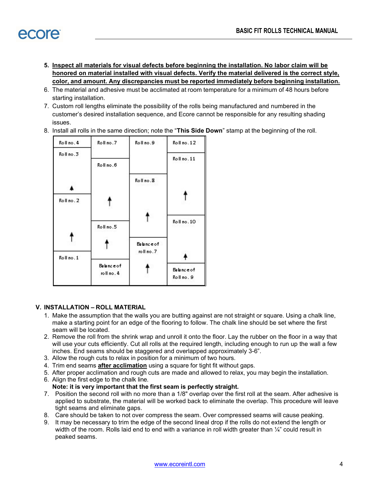- 5. Inspect all materials for visual defects before beginning the installation. No labor claim will be honored on material installed with visual defects. Verify the material delivered is the correct style, color, and amount. Any discrepancies must be reported immediately before beginning installation.
- 6. The material and adhesive must be acclimated at room temperature for a minimum of 48 hours before starting installation.
- 7. Custom roll lengths eliminate the possibility of the rolls being manufactured and numbered in the customer's desired installation sequence, and Ecore cannot be responsible for any resulting shading issues.
- 8. Install all rolls in the same direction; note the "This Side Down" stamp at the beginning of the roll.



#### V. INSTALLATION – ROLL MATERIAL

- 1. Make the assumption that the walls you are butting against are not straight or square. Using a chalk line, make a starting point for an edge of the flooring to follow. The chalk line should be set where the first seam will be located.
- 2. Remove the roll from the shrink wrap and unroll it onto the floor. Lay the rubber on the floor in a way that will use your cuts efficiently. Cut all rolls at the required length, including enough to run up the wall a few inches. End seams should be staggered and overlapped approximately 3-6".
- 3. Allow the rough cuts to relax in position for a minimum of two hours.
- 4. Trim end seams **after acclimation** using a square for tight fit without gaps.
- 5. After proper acclimation and rough cuts are made and allowed to relax, you may begin the installation.
- 6. Align the first edge to the chalk line.
	- Note: it is very important that the first seam is perfectly straight.
- 7. Position the second roll with no more than a 1/8" overlap over the first roll at the seam. After adhesive is applied to substrate, the material will be worked back to eliminate the overlap. This procedure will leave tight seams and eliminate gaps.
- 8. Care should be taken to not over compress the seam. Over compressed seams will cause peaking.
- 9. It may be necessary to trim the edge of the second lineal drop if the rolls do not extend the length or width of the room. Rolls laid end to end with a variance in roll width greater than  $\frac{1}{4}$ " could result in peaked seams.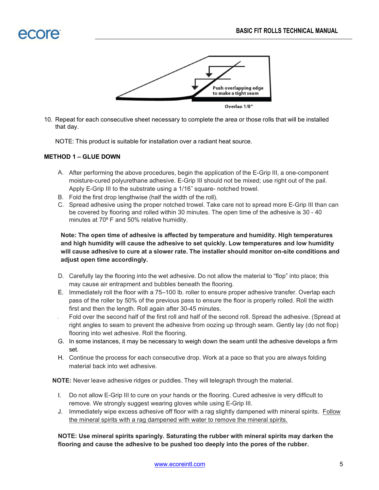

10. Repeat for each consecutive sheet necessary to complete the area or those rolls that will be installed that day.

NOTE: This product is suitable for installation over a radiant heat source.

#### METHOD 1 – GLUE DOWN

- A. After performing the above procedures, begin the application of the E-Grip III, a one-component moisture-cured polyurethane adhesive. E-Grip III should not be mixed; use right out of the pail. Apply E-Grip III to the substrate using a 1/16˝ square- notched trowel.
- B. Fold the first drop lengthwise (half the width of the roll).
- C. Spread adhesive using the proper notched trowel. Take care not to spread more E-Grip III than can be covered by flooring and rolled within 30 minutes. The open time of the adhesive is 30 - 40 minutes at 70° F and 50% relative humidity.

Note: The open time of adhesive is affected by temperature and humidity. High temperatures and high humidity will cause the adhesive to set quickly. Low temperatures and low humidity will cause adhesive to cure at a slower rate. The installer should monitor on-site conditions and adjust open time accordingly.

- D. Carefully lay the flooring into the wet adhesive. Do not allow the material to "flop" into place; this may cause air entrapment and bubbles beneath the flooring.
- E. Immediately roll the floor with a 75–100 lb. roller to ensure proper adhesive transfer. Overlap each pass of the roller by 50% of the previous pass to ensure the floor is properly rolled. Roll the width first and then the length. Roll again after 30-45 minutes.
- Fold over the second half of the first roll and half of the second roll. Spread the adhesive. (Spread at right angles to seam to prevent the adhesive from oozing up through seam. Gently lay (do not flop) flooring into wet adhesive. Roll the flooring.
- G. In some instances, it may be necessary to weigh down the seam until the adhesive develops a firm set.
- H. Continue the process for each consecutive drop. Work at a pace so that you are always folding material back into wet adhesive.

NOTE: Never leave adhesive ridges or puddles. They will telegraph through the material.

- I. Do not allow E-Grip III to cure on your hands or the flooring. Cured adhesive is very difficult to remove. We strongly suggest wearing gloves while using E-Grip III.
- J. Immediately wipe excess adhesive off floor with a rag slightly dampened with mineral spirits. Follow the mineral spirits with a rag dampened with water to remove the mineral spirits.

NOTE: Use mineral spirits sparingly. Saturating the rubber with mineral spirits may darken the flooring and cause the adhesive to be pushed too deeply into the pores of the rubber.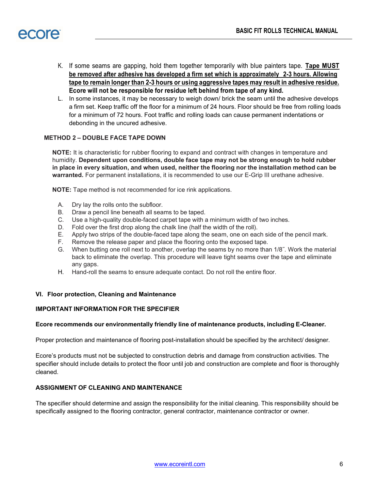

- K. If some seams are gapping, hold them together temporarily with blue painters tape. Tape MUST be removed after adhesive has developed a firm set which is approximately 2-3 hours. Allowing tape to remain longer than 2-3 hours or using aggressive tapes may result in adhesive residue. Ecore will not be responsible for residue left behind from tape of any kind.
- L. In some instances, it may be necessary to weigh down/ brick the seam until the adhesive develops a firm set. Keep traffic off the floor for a minimum of 24 hours. Floor should be free from rolling loads for a minimum of 72 hours. Foot traffic and rolling loads can cause permanent indentations or debonding in the uncured adhesive.

#### METHOD 2 – DOUBLE FACE TAPE DOWN

NOTE: It is characteristic for rubber flooring to expand and contract with changes in temperature and humidity. Dependent upon conditions, double face tape may not be strong enough to hold rubber in place in every situation, and when used, neither the flooring nor the installation method can be warranted. For permanent installations, it is recommended to use our E-Grip III urethane adhesive.

NOTE: Tape method is not recommended for ice rink applications.

- A. Dry lay the rolls onto the subfloor.
- B. Draw a pencil line beneath all seams to be taped.
- C. Use a high-quality double-faced carpet tape with a minimum width of two inches.
- D. Fold over the first drop along the chalk line (half the width of the roll).
- E. Apply two strips of the double-faced tape along the seam, one on each side of the pencil mark.
- F. Remove the release paper and place the flooring onto the exposed tape.
- G. When butting one roll next to another, overlap the seams by no more than 1/8˝. Work the material back to eliminate the overlap. This procedure will leave tight seams over the tape and eliminate any gaps.
- H. Hand-roll the seams to ensure adequate contact. Do not roll the entire floor.

#### VI. Floor protection, Cleaning and Maintenance

#### IMPORTANT INFORMATION FOR THE SPECIFIER

#### Ecore recommends our environmentally friendly line of maintenance products, including E-Cleaner.

Proper protection and maintenance of flooring post-installation should be specified by the architect/ designer.

Ecore's products must not be subjected to construction debris and damage from construction activities. The specifier should include details to protect the floor until job and construction are complete and floor is thoroughly cleaned.

#### ASSIGNMENT OF CLEANING AND MAINTENANCE

The specifier should determine and assign the responsibility for the initial cleaning. This responsibility should be specifically assigned to the flooring contractor, general contractor, maintenance contractor or owner.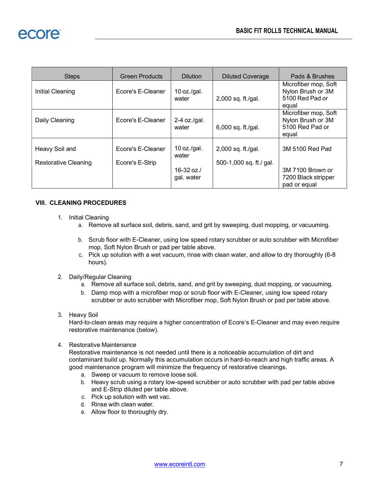| <b>Steps</b>                           | <b>Green Products</b>                | <b>Dilution</b>                       | <b>Diluted Coverage</b>                         | Pads & Brushes                                                        |
|----------------------------------------|--------------------------------------|---------------------------------------|-------------------------------------------------|-----------------------------------------------------------------------|
| Initial Cleaning                       | Ecore's E-Cleaner                    | 10 oz./gal.<br>water                  | $2,000$ sq. ft./gal.                            | Microfiber mop, Soft<br>Nylon Brush or 3M<br>5100 Red Pad or<br>equal |
| Daily Cleaning                         | Ecore's E-Cleaner                    | $2-4$ oz./gal.<br>water               | $6,000$ sq. ft./gal.                            | Microfiber mop, Soft<br>Nylon Brush or 3M<br>5100 Red Pad or<br>equal |
| Heavy Soil and<br>Restorative Cleaning | Ecore's E-Cleaner<br>Ecore's E-Strip | 10 oz./gal.<br>water<br>16-32 oz. $/$ | $2,000$ sq. ft./gal.<br>500-1,000 sq. ft./ gal. | 3M 5100 Red Pad<br>3M 7100 Brown or                                   |
|                                        |                                      | gal. water                            |                                                 | 7200 Black stripper<br>pad or equal                                   |

#### VIII. CLEANING PROCEDURES

- 1. Initial Cleaning
	- a. Remove all surface soil, debris, sand, and grit by sweeping, dust mopping, or vacuuming.
	- b. Scrub floor with E-Cleaner, using low speed rotary scrubber or auto scrubber with Microfiber mop, Soft Nylon Brush or pad per table above.
	- c. Pick up solution with a wet vacuum, rinse with clean water, and allow to dry thoroughly (6-8 hours).
- 2. Daily/Regular Cleaning
	- a. Remove all surface soil, debris, sand, and grit by sweeping, dust mopping, or vacuuming.
	- b. Damp mop with a microfiber mop or scrub floor with E-Cleaner, using low speed rotary scrubber or auto scrubber with Microfiber mop, Soft Nylon Brush or pad per table above.
- 3. Heavy Soil

Hard-to-clean areas may require a higher concentration of Ecore's E-Cleaner and may even require restorative maintenance (below).

4. Restorative Maintenance

Restorative maintenance is not needed until there is a noticeable accumulation of dirt and contaminant build up. Normally this accumulation occurs in hard-to-reach and high traffic areas. A good maintenance program will minimize the frequency of restorative cleanings.

- a. Sweep or vacuum to remove loose soil.
- b. Heavy scrub using a rotary low-speed scrubber or auto scrubber with pad per table above and E-Strip diluted per table above.
- c. Pick up solution with wet vac.
- d. Rinse with clean water.
- e. Allow floor to thoroughly dry.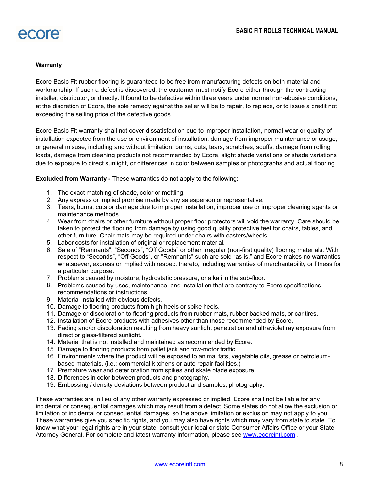#### **Warranty**

Ecore Basic Fit rubber flooring is guaranteed to be free from manufacturing defects on both material and workmanship. If such a defect is discovered, the customer must notify Ecore either through the contracting installer, distributor, or directly. If found to be defective within three years under normal non-abusive conditions, at the discretion of Ecore, the sole remedy against the seller will be to repair, to replace, or to issue a credit not exceeding the selling price of the defective goods.

Ecore Basic Fit warranty shall not cover dissatisfaction due to improper installation, normal wear or quality of installation expected from the use or environment of installation, damage from improper maintenance or usage, or general misuse, including and without limitation: burns, cuts, tears, scratches, scuffs, damage from rolling loads, damage from cleaning products not recommended by Ecore, slight shade variations or shade variations due to exposure to direct sunlight, or differences in color between samples or photographs and actual flooring.

Excluded from Warranty - These warranties do not apply to the following:

- 1. The exact matching of shade, color or mottling.
- 2. Any express or implied promise made by any salesperson or representative.
- 3. Tears, burns, cuts or damage due to improper installation, improper use or improper cleaning agents or maintenance methods.
- 4. Wear from chairs or other furniture without proper floor protectors will void the warranty. Care should be taken to protect the flooring from damage by using good quality protective feet for chairs, tables, and other furniture. Chair mats may be required under chairs with casters/wheels.
- 5. Labor costs for installation of original or replacement material.
- 6. Sale of "Remnants", "Seconds", "Off Goods" or other irregular (non-first quality) flooring materials. With respect to "Seconds", "Off Goods", or "Remnants" such are sold "as is," and Ecore makes no warranties whatsoever, express or implied with respect thereto, including warranties of merchantability or fitness for a particular purpose.
- 7. Problems caused by moisture, hydrostatic pressure, or alkali in the sub-floor.
- 8. Problems caused by uses, maintenance, and installation that are contrary to Ecore specifications, recommendations or instructions.
- 9. Material installed with obvious defects.
- 10. Damage to flooring products from high heels or spike heels.
- 11. Damage or discoloration to flooring products from rubber mats, rubber backed mats, or car tires.
- 12. Installation of Ecore products with adhesives other than those recommended by Ecore.
- 13. Fading and/or discoloration resulting from heavy sunlight penetration and ultraviolet ray exposure from direct or glass-filtered sunlight.
- 14. Material that is not installed and maintained as recommended by Ecore.
- 15. Damage to flooring products from pallet jack and tow-motor traffic.
- 16. Environments where the product will be exposed to animal fats, vegetable oils, grease or petroleumbased materials. (i.e.: commercial kitchens or auto repair facilities.)
- 17. Premature wear and deterioration from spikes and skate blade exposure.
- 18. Differences in color between products and photography.
- 19. Embossing / density deviations between product and samples, photography.

These warranties are in lieu of any other warranty expressed or implied. Ecore shall not be liable for any incidental or consequential damages which may result from a defect. Some states do not allow the exclusion or limitation of incidental or consequential damages, so the above limitation or exclusion may not apply to you. These warranties give you specific rights, and you may also have rights which may vary from state to state. To know what your legal rights are in your state, consult your local or state Consumer Affairs Office or your State Attorney General. For complete and latest warranty information, please see www.ecoreintl.com .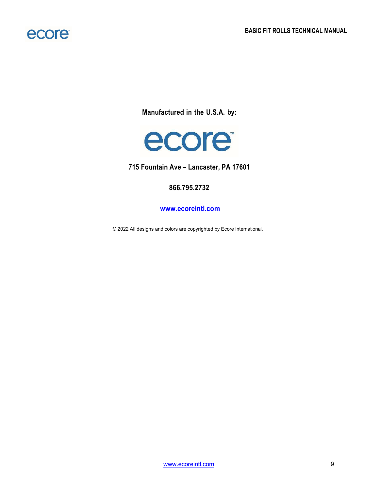

Manufactured in the U.S.A. by:



715 Fountain Ave – Lancaster, PA 17601

### 866.795.2732

www.ecoreintl.com

© 2022 All designs and colors are copyrighted by Ecore International.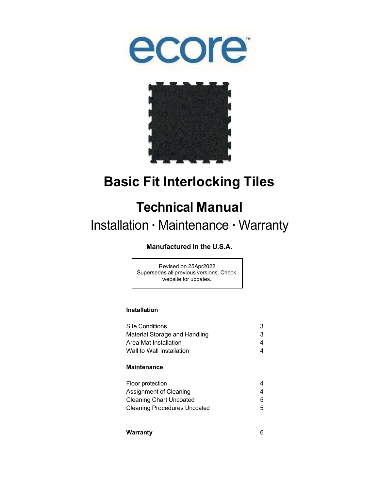



## Basic Fit Interlocking Tiles

## Technical Manual

### Installation · Maintenance · Warranty

### Manufactured in the U.S.A.

Revised on 25Apr2022 Supersedes all previous versions. Check website for updates.

#### Installation

| <b>Site Conditions</b>        | 3 |
|-------------------------------|---|
| Material Storage and Handling | 3 |
| Area Mat Installation         |   |
| Wall to Wall Installation     |   |
|                               |   |

#### **Maintenance**

| Floor protection                    |   |
|-------------------------------------|---|
| Assignment of Cleaning              |   |
| Cleaning Chart Uncoated             | 5 |
| <b>Cleaning Procedures Uncoated</b> | 5 |

| Warranty |  |
|----------|--|
|          |  |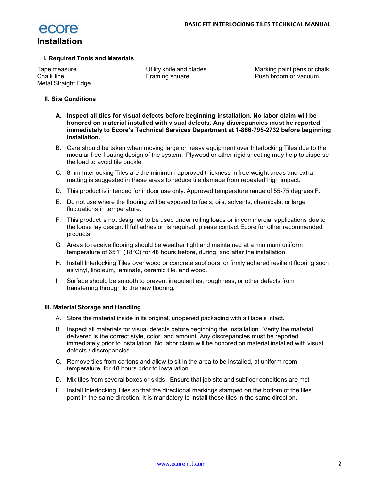

#### I. Required Tools and Materials

Tape measure Chalk line Metal Straight Edge Utility knife and blades Framing square

Marking paint pens or chalk Push broom or vacuum

#### II. Site Conditions

- A. Inspect all tiles for visual defects before beginning installation. No labor claim will be honored on material installed with visual defects. Any discrepancies must be reported immediately to Ecore's Technical Services Department at 1-866-795-2732 before beginning installation.
- B. Care should be taken when moving large or heavy equipment over Interlocking Tiles due to the modular free-floating design of the system. Plywood or other rigid sheeting may help to disperse the load to avoid tile buckle.
- C. 8mm Interlocking Tiles are the minimum approved thickness in free weight areas and extra matting is suggested in these areas to reduce tile damage from repeated high impact.
- D. This product is intended for indoor use only. Approved temperature range of 55-75 degrees F.
- E. Do not use where the flooring will be exposed to fuels, oils, solvents, chemicals, or large fluctuations in temperature.
- F. This product is not designed to be used under rolling loads or in commercial applications due to the loose lay design. If full adhesion is required, please contact Ecore for other recommended products.
- G. Areas to receive flooring should be weather tight and maintained at a minimum uniform temperature of  $65^{\circ}F$  (18 $^{\circ}C$ ) for 48 hours before, during, and after the installation.
- H. Install Interlocking Tiles over wood or concrete subfloors, or firmly adhered resilient flooring such as vinyl, linoleum, laminate, ceramic tile, and wood.
- I. Surface should be smooth to prevent irregularities, roughness, or other defects from transferring through to the new flooring.

#### III. Material Storage and Handling

- A. Store the material inside in its original, unopened packaging with all labels intact.
- B. Inspect all materials for visual defects before beginning the installation. Verify the material delivered is the correct style, color, and amount. Any discrepancies must be reported immediately prior to installation. No labor claim will be honored on material installed with visual defects / discrepancies.
- C. Remove tiles from cartons and allow to sit in the area to be installed, at uniform room temperature, for 48 hours prior to installation.
- D. Mix tiles from several boxes or skids. Ensure that job site and subfloor conditions are met.
- E. Install Interlocking Tiles so that the directional markings stamped on the bottom of the tiles point in the same direction. It is mandatory to install these tiles in the same direction.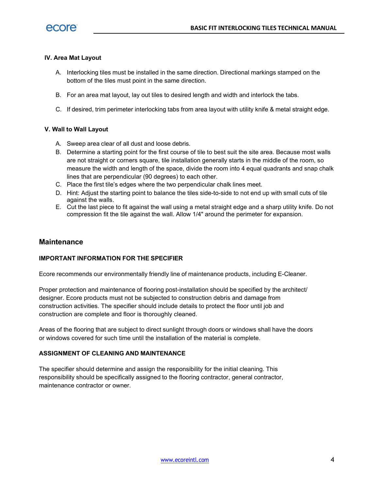#### IV. Area Mat Layout

- A. Interlocking tiles must be installed in the same direction. Directional markings stamped on the bottom of the tiles must point in the same direction.
- B. For an area mat layout, lay out tiles to desired length and width and interlock the tabs.
- C. If desired, trim perimeter interlocking tabs from area layout with utility knife & metal straight edge.

#### V. Wall to Wall Layout

- A. Sweep area clear of all dust and loose debris.
- B. Determine a starting point for the first course of tile to best suit the site area. Because most walls are not straight or corners square, tile installation generally starts in the middle of the room, so measure the width and length of the space, divide the room into 4 equal quadrants and snap chalk lines that are perpendicular (90 degrees) to each other.
- C. Place the first tile's edges where the two perpendicular chalk lines meet.
- D. Hint: Adjust the starting point to balance the tiles side-to-side to not end up with small cuts of tile against the walls.
- E. Cut the last piece to fit against the wall using a metal straight edge and a sharp utility knife. Do not compression fit the tile against the wall. Allow 1/4" around the perimeter for expansion.

#### **Maintenance**

#### IMPORTANT INFORMATION FOR THE SPECIFIER

Ecore recommends our environmentally friendly line of maintenance products, including E-Cleaner.

Proper protection and maintenance of flooring post-installation should be specified by the architect/ designer. Ecore products must not be subjected to construction debris and damage from construction activities. The specifier should include details to protect the floor until job and construction are complete and floor is thoroughly cleaned.

Areas of the flooring that are subject to direct sunlight through doors or windows shall have the doors or windows covered for such time until the installation of the material is complete.

#### ASSIGNMENT OF CLEANING AND MAINTENANCE

The specifier should determine and assign the responsibility for the initial cleaning. This responsibility should be specifically assigned to the flooring contractor, general contractor, maintenance contractor or owner.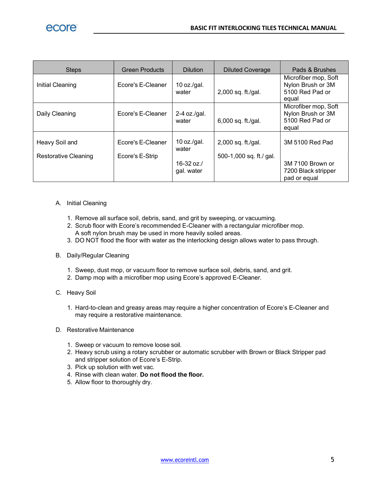| <b>Steps</b>                           | <b>Green Products</b>                | <b>Dilution</b>             | <b>Diluted Coverage</b>                       | Pads & Brushes                                                        |
|----------------------------------------|--------------------------------------|-----------------------------|-----------------------------------------------|-----------------------------------------------------------------------|
| Initial Cleaning                       | Ecore's E-Cleaner                    | 10 oz./gal.<br>water        | 2,000 sq. ft./gal.                            | Microfiber mop, Soft<br>Nylon Brush or 3M<br>5100 Red Pad or<br>equal |
| Daily Cleaning                         | Ecore's E-Cleaner                    | $2-4$ oz./gal.<br>water     | 6,000 sq. ft./gal.                            | Microfiber mop, Soft<br>Nylon Brush or 3M<br>5100 Red Pad or<br>equal |
| Heavy Soil and<br>Restorative Cleaning | Ecore's E-Cleaner<br>Ecore's E-Strip | 10 oz./gal.<br>water        | 2,000 sq. ft./gal.<br>500-1,000 sq. ft./ gal. | 3M 5100 Red Pad                                                       |
|                                        |                                      | $16 - 32$ oz.<br>gal. water |                                               | 3M 7100 Brown or<br>7200 Black stripper<br>pad or equal               |

#### A. Initial Cleaning

- 1. Remove all surface soil, debris, sand, and grit by sweeping, or vacuuming.
- 2. Scrub floor with Ecore's recommended E-Cleaner with a rectangular microfiber mop.
- A soft nylon brush may be used in more heavily soiled areas.
- 3. DO NOT flood the floor with water as the interlocking design allows water to pass through.

#### B. Daily/Regular Cleaning

- 1. Sweep, dust mop, or vacuum floor to remove surface soil, debris, sand, and grit.
- 2. Damp mop with a microfiber mop using Ecore's approved E-Cleaner.
- C. Heavy Soil
	- 1. Hard-to-clean and greasy areas may require a higher concentration of Ecore's E-Cleaner and may require a restorative maintenance.

#### D. Restorative Maintenance

- 1. Sweep or vacuum to remove loose soil.
- 2. Heavy scrub using a rotary scrubber or automatic scrubber with Brown or Black Stripper pad and stripper solution of Ecore's E-Strip.
- 3. Pick up solution with wet vac.
- 4. Rinse with clean water. Do not flood the floor.
- 5. Allow floor to thoroughly dry.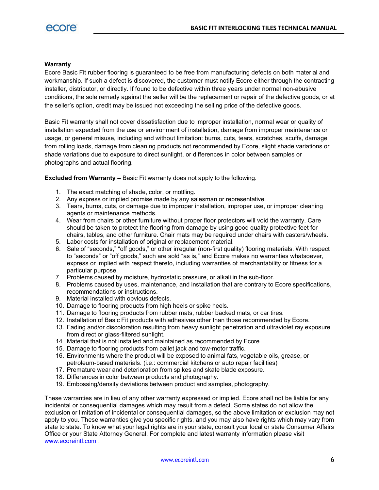#### **Warranty**

Ecore Basic Fit rubber flooring is guaranteed to be free from manufacturing defects on both material and workmanship. If such a defect is discovered, the customer must notify Ecore either through the contracting installer, distributor, or directly. If found to be defective within three years under normal non-abusive conditions, the sole remedy against the seller will be the replacement or repair of the defective goods, or at the seller's option, credit may be issued not exceeding the selling price of the defective goods.

Basic Fit warranty shall not cover dissatisfaction due to improper installation, normal wear or quality of installation expected from the use or environment of installation, damage from improper maintenance or usage, or general misuse, including and without limitation: burns, cuts, tears, scratches, scuffs, damage from rolling loads, damage from cleaning products not recommended by Ecore, slight shade variations or shade variations due to exposure to direct sunlight, or differences in color between samples or photographs and actual flooring.

Excluded from Warranty – Basic Fit warranty does not apply to the following.

- 1. The exact matching of shade, color, or mottling.
- 2. Any express or implied promise made by any salesman or representative.
- 3. Tears, burns, cuts, or damage due to improper installation, improper use, or improper cleaning agents or maintenance methods.
- 4. Wear from chairs or other furniture without proper floor protectors will void the warranty. Care should be taken to protect the flooring from damage by using good quality protective feet for chairs, tables, and other furniture. Chair mats may be required under chairs with casters/wheels.
- 5. Labor costs for installation of original or replacement material.
- 6. Sale of "seconds," "off goods," or other irregular (non-first quality) flooring materials. With respect to "seconds" or "off goods," such are sold "as is," and Ecore makes no warranties whatsoever, express or implied with respect thereto, including warranties of merchantability or fitness for a particular purpose.
- 7. Problems caused by moisture, hydrostatic pressure, or alkali in the sub-floor.
- 8. Problems caused by uses, maintenance, and installation that are contrary to Ecore specifications, recommendations or instructions.
- 9. Material installed with obvious defects.
- 10. Damage to flooring products from high heels or spike heels.
- 11. Damage to flooring products from rubber mats, rubber backed mats, or car tires.
- 12. Installation of Basic Fit products with adhesives other than those recommended by Ecore.
- 13. Fading and/or discoloration resulting from heavy sunlight penetration and ultraviolet ray exposure from direct or glass-filtered sunlight.
- 14. Material that is not installed and maintained as recommended by Ecore.
- 15. Damage to flooring products from pallet jack and tow-motor traffic.
- 16. Environments where the product will be exposed to animal fats, vegetable oils, grease, or petroleum-based materials. (i.e.: commercial kitchens or auto repair facilities)
- 17. Premature wear and deterioration from spikes and skate blade exposure.
- 18. Differences in color between products and photography.
- 19. Embossing/density deviations between product and samples, photography.

These warranties are in lieu of any other warranty expressed or implied. Ecore shall not be liable for any incidental or consequential damages which may result from a defect. Some states do not allow the exclusion or limitation of incidental or consequential damages, so the above limitation or exclusion may not apply to you. These warranties give you specific rights, and you may also have rights which may vary from state to state. To know what your legal rights are in your state, consult your local or state Consumer Affairs Office or your State Attorney General. For complete and latest warranty information please visit www.ecoreintl.com .